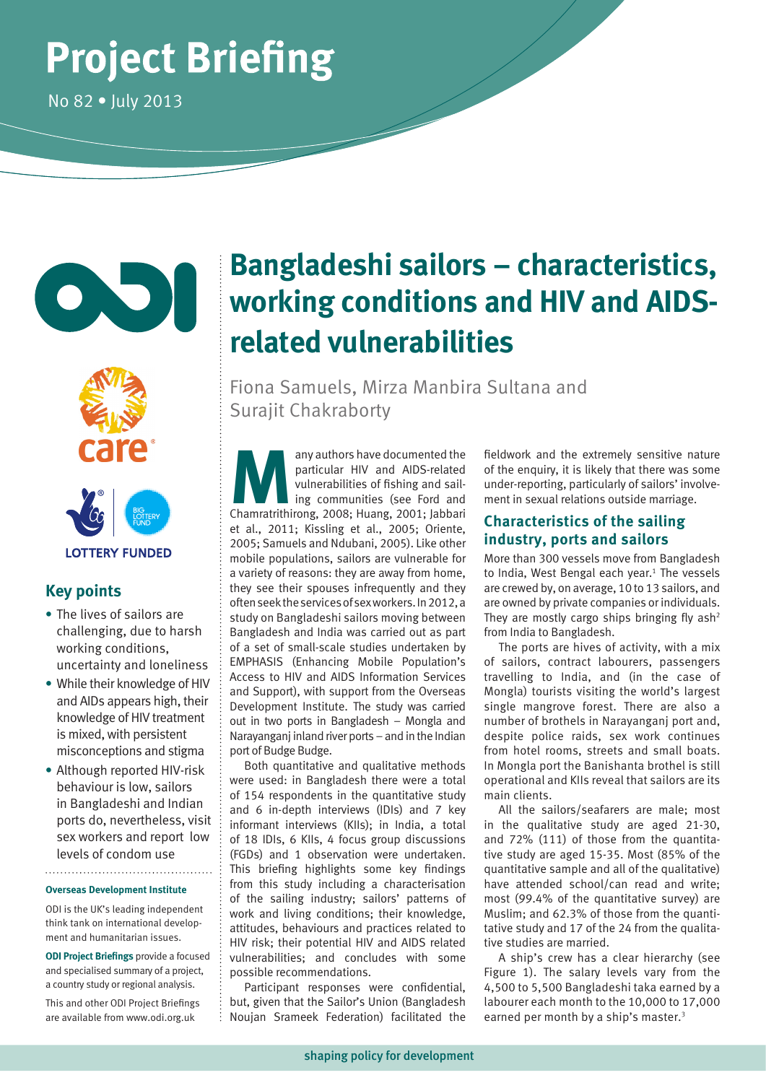# **Project Briefing**

No 82 • July 2013





**LOTTERY FUNDED** 

# **Key points**

- **•** The lives of sailors are challenging, due to harsh working conditions, uncertainty and loneliness
- **•** While their knowledge of HIV and AIDs appears high, their knowledge of HIV treatment is mixed, with persistent misconceptions and stigma
- **•** Although reported HIV-risk behaviour is low, sailors in Bangladeshi and Indian ports do, nevertheless, visit sex workers and report low levels of condom use

# **Overseas Development Institute**

ODI is the UK's leading independent think tank on international development and humanitarian issues.

**ODI Project Briefings** provide a focused and specialised summary of a project, a country study or regional analysis.

This and other ODI Project Briefings are available from www.odi.org.uk

# **Bangladeshi sailors – characteristics, working conditions and HIV and AIDSrelated vulnerabilities**

Fiona Samuels, Mirza Manbira Sultana and Surajit Chakraborty

any authors have documented the particular HIV and AIDS-related vulnerabilities of fishing and sailing communities (see Ford and Chamratrithirong, 2008; Huang, 2001; Jabbari particular HIV and AIDS-related vulnerabilities of fishing and sailing communities (see Ford and et al., 2011; Kissling et al., 2005; Oriente, 2005; Samuels and Ndubani, 2005). Like other mobile populations, sailors are vulnerable for a variety of reasons: they are away from home, they see their spouses infrequently and they often seek the services of sex workers. In 2012, a study on Bangladeshi sailors moving between Bangladesh and India was carried out as part of a set of small-scale studies undertaken by EMPHASIS (Enhancing Mobile Population's Access to HIV and AIDS Information Services and Support), with support from the Overseas Development Institute. The study was carried out in two ports in Bangladesh – Mongla and Narayanganj inland river ports – and in the Indian port of Budge Budge.

Both quantitative and qualitative methods were used: in Bangladesh there were a total of 154 respondents in the quantitative study and 6 in-depth interviews (IDIs) and 7 key informant interviews (KIIs); in India, a total of 18 IDIs, 6 KIIs, 4 focus group discussions (FGDs) and 1 observation were undertaken. This briefing highlights some key findings from this study including a characterisation of the sailing industry; sailors' patterns of work and living conditions; their knowledge, attitudes, behaviours and practices related to HIV risk; their potential HIV and AIDS related vulnerabilities; and concludes with some possible recommendations.

Participant responses were confidential, but, given that the Sailor's Union (Bangladesh Noujan Srameek Federation) facilitated the fieldwork and the extremely sensitive nature of the enquiry, it is likely that there was some under-reporting, particularly of sailors' involvement in sexual relations outside marriage.

# **Characteristics of the sailing industry, ports and sailors**

More than 300 vessels move from Bangladesh to India, West Bengal each year.<sup>1</sup> The vessels are crewed by, on average, 10 to 13 sailors, and are owned by private companies or individuals. They are mostly cargo ships bringing fly ash<sup>2</sup> from India to Bangladesh.

The ports are hives of activity, with a mix of sailors, contract labourers, passengers travelling to India, and (in the case of Mongla) tourists visiting the world's largest single mangrove forest. There are also a number of brothels in Narayanganj port and, despite police raids, sex work continues from hotel rooms, streets and small boats. In Mongla port the Banishanta brothel is still operational and KIIs reveal that sailors are its main clients.

All the sailors/seafarers are male; most in the qualitative study are aged 21-30, and 72% (111) of those from the quantitative study are aged 15-35. Most (85% of the quantitative sample and all of the qualitative) have attended school/can read and write; most (99.4% of the quantitative survey) are Muslim; and 62.3% of those from the quantitative study and 17 of the 24 from the qualitative studies are married.

A ship's crew has a clear hierarchy (see Figure 1). The salary levels vary from the 4,500 to 5,500 Bangladeshi taka earned by a labourer each month to the 10,000 to 17,000 earned per month by a ship's master.<sup>3</sup>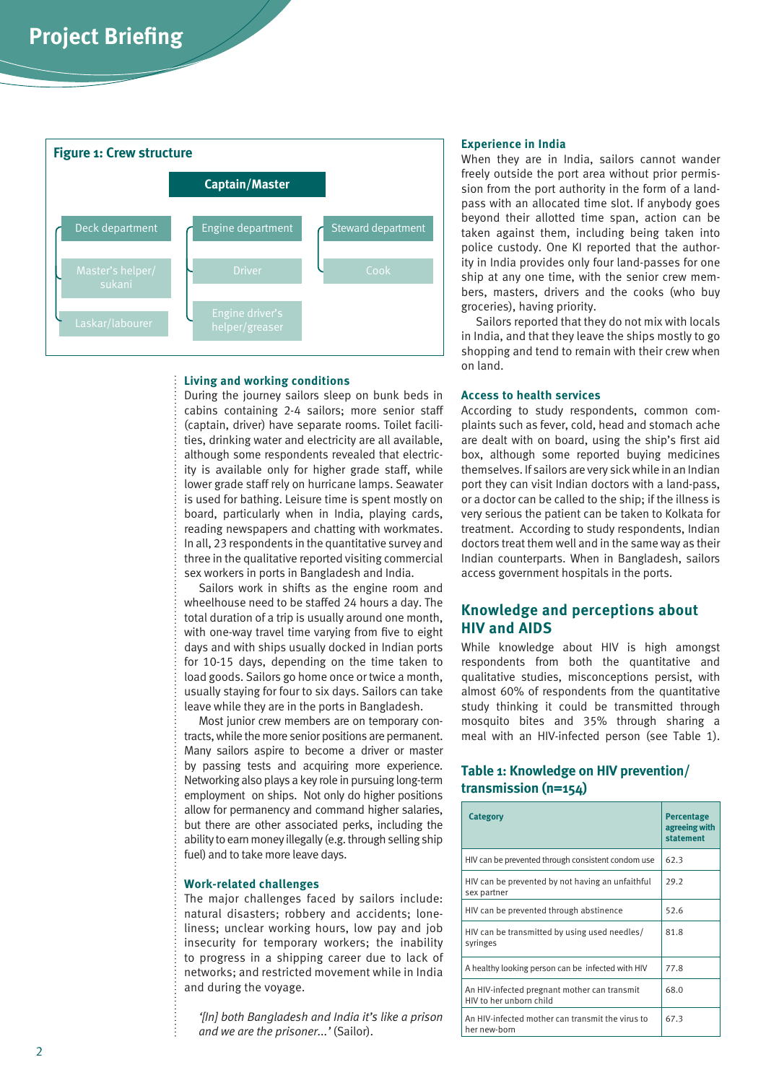

#### **Living and working conditions**

During the journey sailors sleep on bunk beds in cabins containing 2-4 sailors; more senior staff (captain, driver) have separate rooms. Toilet facilities, drinking water and electricity are all available, although some respondents revealed that electricity is available only for higher grade staff, while lower grade staff rely on hurricane lamps. Seawater is used for bathing. Leisure time is spent mostly on board, particularly when in India, playing cards, reading newspapers and chatting with workmates. In all, 23 respondents in the quantitative survey and three in the qualitative reported visiting commercial sex workers in ports in Bangladesh and India.

Sailors work in shifts as the engine room and wheelhouse need to be staffed 24 hours a day. The total duration of a trip is usually around one month, with one-way travel time varying from five to eight days and with ships usually docked in Indian ports for 10-15 days, depending on the time taken to load goods. Sailors go home once or twice a month, usually staying for four to six days. Sailors can take leave while they are in the ports in Bangladesh.

Most junior crew members are on temporary contracts, while the more senior positions are permanent. Many sailors aspire to become a driver or master by passing tests and acquiring more experience. Networking also plays a key role in pursuing long-term employment on ships. Not only do higher positions allow for permanency and command higher salaries, but there are other associated perks, including the ability to earn money illegally (e.g. through selling ship fuel) and to take more leave days.

#### **Work-related challenges**

The major challenges faced by sailors include: natural disasters; robbery and accidents; loneliness; unclear working hours, low pay and job insecurity for temporary workers; the inability to progress in a shipping career due to lack of networks; and restricted movement while in India and during the voyage.

*'[In] both Bangladesh and India it's like a prison and we are the prisoner...'* (Sailor).

#### **Experience in India**

When they are in India, sailors cannot wander freely outside the port area without prior permission from the port authority in the form of a landpass with an allocated time slot. If anybody goes beyond their allotted time span, action can be taken against them, including being taken into police custody. One KI reported that the authority in India provides only four land-passes for one ship at any one time, with the senior crew members, masters, drivers and the cooks (who buy groceries), having priority.

Sailors reported that they do not mix with locals in India, and that they leave the ships mostly to go shopping and tend to remain with their crew when on land.

#### **Access to health services**

According to study respondents, common complaints such as fever, cold, head and stomach ache are dealt with on board, using the ship's first aid box, although some reported buying medicines themselves. If sailors are very sick while in an Indian port they can visit Indian doctors with a land-pass, or a doctor can be called to the ship; if the illness is very serious the patient can be taken to Kolkata for treatment. According to study respondents, Indian doctors treat them well and in the same way as their Indian counterparts. When in Bangladesh, sailors access government hospitals in the ports.

# **Knowledge and perceptions about HIV and AIDS**

While knowledge about HIV is high amongst respondents from both the quantitative and qualitative studies, misconceptions persist, with almost 60% of respondents from the quantitative study thinking it could be transmitted through mosquito bites and 35% through sharing a meal with an HIV-infected person (see Table 1).

# **Table 1: Knowledge on HIV prevention/ transmission (n=154)**

| <b>Category</b>                                                         | <b>Percentage</b><br>agreeing with<br>statement |
|-------------------------------------------------------------------------|-------------------------------------------------|
| HIV can be prevented through consistent condom use                      | 62.3                                            |
| HIV can be prevented by not having an unfaithful<br>sex partner         | 29.2                                            |
| HIV can be prevented through abstinence                                 | 52.6                                            |
| HIV can be transmitted by using used needles/<br>syringes               | 81.8                                            |
| A healthy looking person can be infected with HIV                       | 77.8                                            |
| An HIV-infected pregnant mother can transmit<br>HIV to her unborn child | 68.0                                            |
| An HIV-infected mother can transmit the virus to<br>her new-born        | 67.3                                            |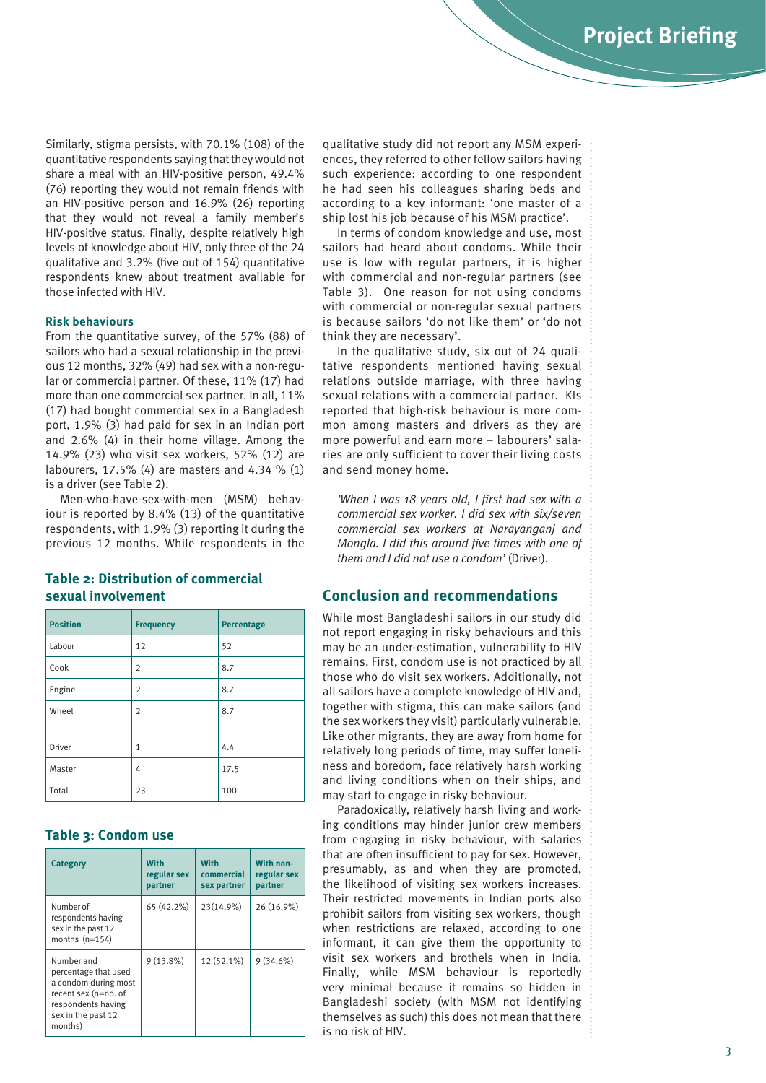Similarly, stigma persists, with 70.1% (108) of the quantitative respondents saying that they would not share a meal with an HIV-positive person, 49.4% (76) reporting they would not remain friends with an HIV-positive person and 16.9% (26) reporting that they would not reveal a family member's HIV-positive status. Finally, despite relatively high levels of knowledge about HIV, only three of the 24 qualitative and 3.2% (five out of 154) quantitative respondents knew about treatment available for those infected with HIV.

# **Risk behaviours**

From the quantitative survey, of the 57% (88) of sailors who had a sexual relationship in the previous 12 months, 32% (49) had sex with a non-regular or commercial partner. Of these, 11% (17) had more than one commercial sex partner. In all, 11% (17) had bought commercial sex in a Bangladesh port, 1.9% (3) had paid for sex in an Indian port and 2.6% (4) in their home village. Among the 14.9% (23) who visit sex workers, 52% (12) are labourers, 17.5% (4) are masters and 4.34 % (1) is a driver (see Table 2).

Men-who-have-sex-with-men (MSM) behaviour is reported by 8.4% (13) of the quantitative respondents, with 1.9% (3) reporting it during the previous 12 months. While respondents in the

**Table 2: Distribution of commercial** 

**sexual involvement**

**Position Frequency Percentage** Labour | 12 | 52 Cook  $\vert 2 \vert 8.7$ Engine  $\vert$  2  $\vert$  8.7 Wheel  $\begin{vmatrix} 2 & 8.7 \end{vmatrix}$ Driver  $\begin{vmatrix} 1 & 4.4 \end{vmatrix}$ Master  $\vert$  4  $\vert$  17.5 Total 23 100

# **Table 3: Condom use**

| Category                                                                                                                                  | <b>With</b><br>regular sex<br>partner | With<br>commercial<br>sex partner | With non-<br>regular sex<br>partner |
|-------------------------------------------------------------------------------------------------------------------------------------------|---------------------------------------|-----------------------------------|-------------------------------------|
| Number of<br>respondents having<br>sex in the past 12<br>months $(n=154)$                                                                 | 65 (42.2%)                            | 23(14.9%)                         | 26 (16.9%)                          |
| Number and<br>percentage that used<br>a condom during most<br>recent sex (n=no. of<br>respondents having<br>sex in the past 12<br>months) | $9(13.8\%)$                           | 12 (52.1%)                        | $9(34.6\%)$                         |

qualitative study did not report any MSM experiences, they referred to other fellow sailors having such experience: according to one respondent he had seen his colleagues sharing beds and according to a key informant: 'one master of a ship lost his job because of his MSM practice'.

In terms of condom knowledge and use, most sailors had heard about condoms. While their use is low with regular partners, it is higher with commercial and non-regular partners (see Table 3). One reason for not using condoms with commercial or non-regular sexual partners is because sailors 'do not like them' or 'do not think they are necessary'.

In the qualitative study, six out of 24 qualitative respondents mentioned having sexual relations outside marriage, with three having sexual relations with a commercial partner. KIs reported that high-risk behaviour is more common among masters and drivers as they are more powerful and earn more – labourers' salaries are only sufficient to cover their living costs and send money home.

*'When I was 18 years old, I first had sex with a commercial sex worker. I did sex with six/seven commercial sex workers at Narayanganj and Mongla. I did this around five times with one of them and I did not use a condom'* (Driver).

# **Conclusion and recommendations**

While most Bangladeshi sailors in our study did not report engaging in risky behaviours and this may be an under-estimation, vulnerability to HIV remains. First, condom use is not practiced by all those who do visit sex workers. Additionally, not all sailors have a complete knowledge of HIV and, together with stigma, this can make sailors (and the sex workers they visit) particularly vulnerable. Like other migrants, they are away from home for relatively long periods of time, may suffer loneliness and boredom, face relatively harsh working and living conditions when on their ships, and may start to engage in risky behaviour.

Paradoxically, relatively harsh living and working conditions may hinder junior crew members from engaging in risky behaviour, with salaries that are often insufficient to pay for sex. However, presumably, as and when they are promoted, the likelihood of visiting sex workers increases. Their restricted movements in Indian ports also prohibit sailors from visiting sex workers, though when restrictions are relaxed, according to one informant, it can give them the opportunity to visit sex workers and brothels when in India. Finally, while MSM behaviour is reportedly very minimal because it remains so hidden in Bangladeshi society (with MSM not identifying themselves as such) this does not mean that there is no risk of HIV.